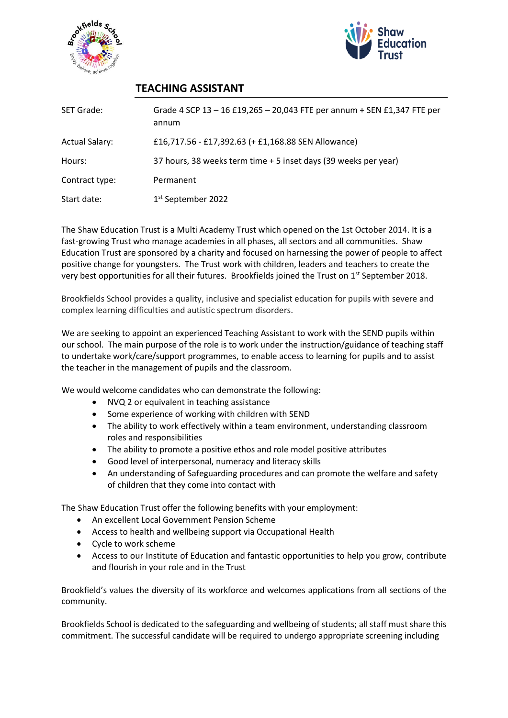



## **TEACHING ASSISTANT**

| <b>SET Grade:</b>     | Grade 4 SCP 13 - 16 £19,265 - 20,043 FTE per annum + SEN £1,347 FTE per<br>annum |
|-----------------------|----------------------------------------------------------------------------------|
| <b>Actual Salary:</b> | £16,717.56 - £17,392.63 (+ £1,168.88 SEN Allowance)                              |
| Hours:                | 37 hours, 38 weeks term time + 5 inset days (39 weeks per year)                  |
| Contract type:        | Permanent                                                                        |
| Start date:           | 1 <sup>st</sup> September 2022                                                   |

The Shaw Education Trust is a Multi Academy Trust which opened on the 1st October 2014. It is a fast-growing Trust who manage academies in all phases, all sectors and all communities. Shaw Education Trust are sponsored by a charity and focused on harnessing the power of people to affect positive change for youngsters. The Trust work with children, leaders and teachers to create the very best opportunities for all their futures. Brookfields joined the Trust on 1<sup>st</sup> September 2018.

Brookfields School provides a quality, inclusive and specialist education for pupils with severe and complex learning difficulties and autistic spectrum disorders.

We are seeking to appoint an experienced Teaching Assistant to work with the SEND pupils within our school. The main purpose of the role is to work under the instruction/guidance of teaching staff to undertake work/care/support programmes, to enable access to learning for pupils and to assist the teacher in the management of pupils and the classroom.

We would welcome candidates who can demonstrate the following:

- NVQ 2 or equivalent in teaching assistance
- Some experience of working with children with SEND
- The ability to work effectively within a team environment, understanding classroom roles and responsibilities
- The ability to promote a positive ethos and role model positive attributes
- Good level of interpersonal, numeracy and literacy skills
- An understanding of Safeguarding procedures and can promote the welfare and safety of children that they come into contact with

The Shaw Education Trust offer the following benefits with your employment:

- An excellent Local Government Pension Scheme
- Access to health and wellbeing support via Occupational Health
- Cycle to work scheme
- Access to our Institute of Education and fantastic opportunities to help you grow, contribute and flourish in your role and in the Trust

Brookfield's values the diversity of its workforce and welcomes applications from all sections of the community.

Brookfields School is dedicated to the safeguarding and wellbeing of students; all staff must share this commitment. The successful candidate will be required to undergo appropriate screening including